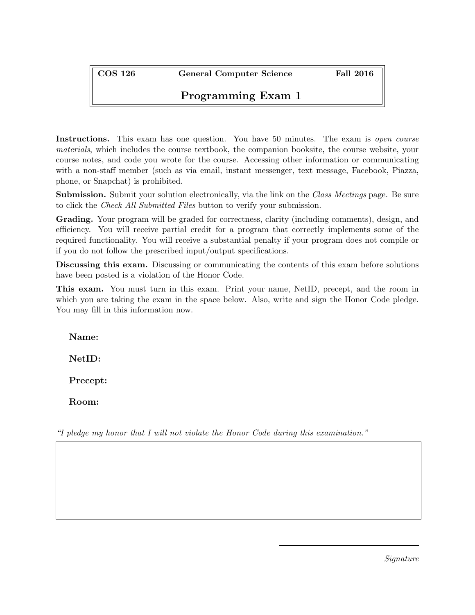COS 126 General Computer Science Fall 2016

## Programming Exam 1

Instructions. This exam has one question. You have 50 minutes. The exam is *open course* materials, which includes the course textbook, the companion booksite, the course website, your course notes, and code you wrote for the course. Accessing other information or communicating with a non-staff member (such as via email, instant messenger, text message, Facebook, Piazza, phone, or Snapchat) is prohibited.

**Submission.** Submit your solution electronically, via the link on the *Class Meetings* page. Be sure to click the Check All Submitted Files button to verify your submission.

Grading. Your program will be graded for correctness, clarity (including comments), design, and efficiency. You will receive partial credit for a program that correctly implements some of the required functionality. You will receive a substantial penalty if your program does not compile or if you do not follow the prescribed input/output specifications.

Discussing this exam. Discussing or communicating the contents of this exam before solutions have been posted is a violation of the Honor Code.

This exam. You must turn in this exam. Print your name, NetID, precept, and the room in which you are taking the exam in the space below. Also, write and sign the Honor Code pledge. You may fill in this information now.

Name:

NetID:

Precept:

Room:

"I pledge my honor that I will not violate the Honor Code during this examination."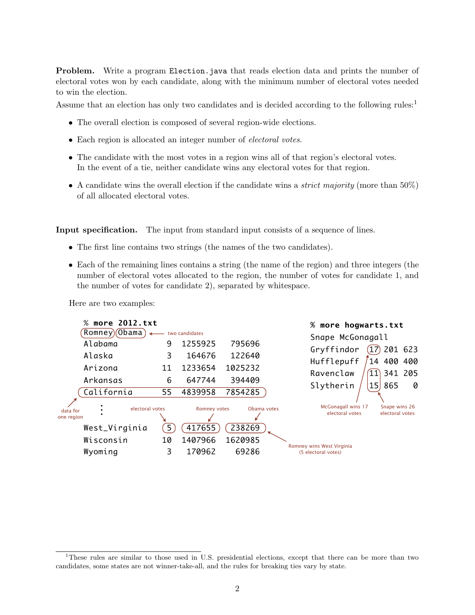**Problem.** Write a program Election.java that reads election data and prints the number of electoral votes won by each candidate, along with the minimum number of electoral votes needed to win the election.

Assume that an election has only two candidates and is decided according to the following rules:<sup>1</sup>

- The overall election is composed of several region-wide elections.
- Each region is allocated an integer number of electoral votes.
- The candidate with the most votes in a region wins all of that region's electoral votes. In the event of a tie, neither candidate wins any electoral votes for that region.
- A candidate wins the overall election if the candidate wins a *strict majority* (more than  $50\%$ ) of all allocated electoral votes.

Input specification. The input from standard input consists of a sequence of lines.

- The first line contains two strings (the names of the two candidates).
- Each of the remaining lines contains a string (the name of the region) and three integers (the number of electoral votes allocated to the region, the number of votes for candidate 1, and the number of votes for candidate 2), separated by whitespace.

Here are two examples:



<sup>&</sup>lt;sup>1</sup>These rules are similar to those used in U.S. presidential elections, except that there can be more than two candidates, some states are not winner-take-all, and the rules for breaking ties vary by state.